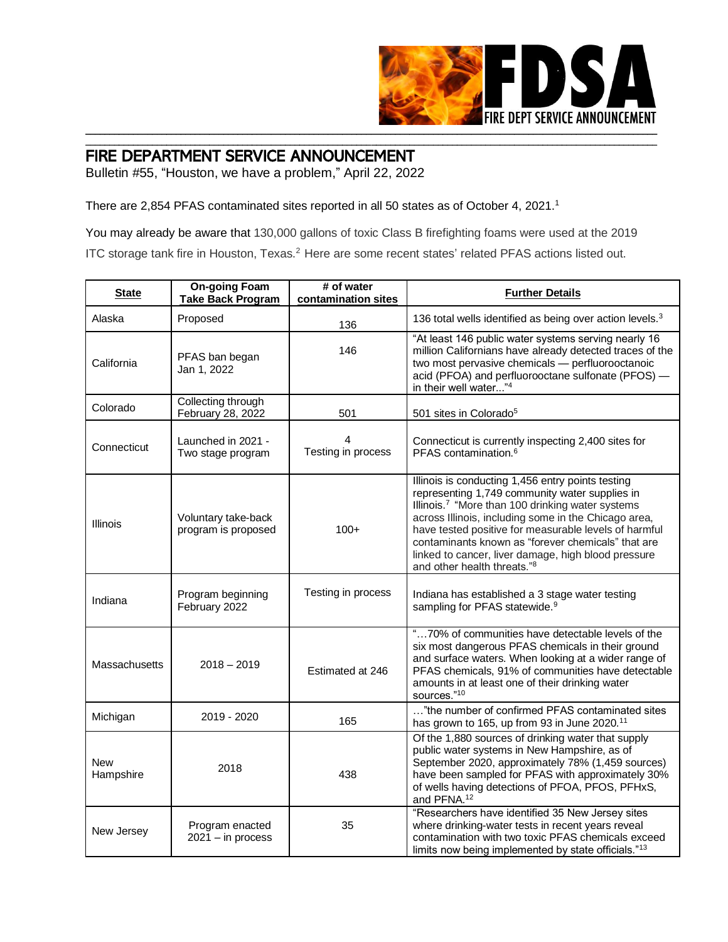

## FIRE DEPARTMENT SERVICE ANNOUNCEMENT

Bulletin #55, "Houston, we have a problem," April 22, 2022

There are 2,854 PFAS contaminated sites reported in all 50 states as of October 4, 2021.<sup>1</sup>

You may already be aware that 130,000 gallons of toxic Class B firefighting foams were used at the 2019 ITC storage tank fire in Houston, Texas.<sup>2</sup> Here are some recent states' related PFAS actions listed out.

\_\_\_\_\_\_\_\_\_\_\_\_\_\_\_\_\_\_\_\_\_\_\_\_\_\_\_\_\_\_\_\_\_\_\_\_\_\_\_\_\_\_\_\_\_\_\_\_\_\_\_\_\_\_\_\_\_\_\_\_\_\_\_\_\_\_\_\_\_\_\_\_\_\_\_\_\_\_\_\_\_\_\_\_\_\_\_\_\_\_\_\_\_\_\_\_\_\_\_\_\_\_\_\_\_\_\_\_\_\_\_\_\_\_\_\_\_\_\_\_

| <b>State</b>            | <b>On-going Foam</b><br><b>Take Back Program</b> | # of water<br>contamination sites | <b>Further Details</b>                                                                                                                                                                                                                                                                                                                                                                                                                       |  |  |
|-------------------------|--------------------------------------------------|-----------------------------------|----------------------------------------------------------------------------------------------------------------------------------------------------------------------------------------------------------------------------------------------------------------------------------------------------------------------------------------------------------------------------------------------------------------------------------------------|--|--|
| Alaska                  | Proposed                                         | 136                               | 136 total wells identified as being over action levels. <sup>3</sup>                                                                                                                                                                                                                                                                                                                                                                         |  |  |
| California              | PFAS ban began<br>Jan 1, 2022                    | 146                               | "At least 146 public water systems serving nearly 16<br>million Californians have already detected traces of the<br>two most pervasive chemicals - perfluorooctanoic<br>acid (PFOA) and perfluorooctane sulfonate (PFOS) -<br>in their well water"4                                                                                                                                                                                          |  |  |
| Colorado                | Collecting through<br>February 28, 2022          | 501                               | 501 sites in Colorado <sup>5</sup>                                                                                                                                                                                                                                                                                                                                                                                                           |  |  |
| Connecticut             | Launched in 2021 -<br>Two stage program          | 4<br>Testing in process           | Connecticut is currently inspecting 2,400 sites for<br>PFAS contamination. <sup>6</sup>                                                                                                                                                                                                                                                                                                                                                      |  |  |
| <b>Illinois</b>         | Voluntary take-back<br>program is proposed       | $100+$                            | Illinois is conducting 1,456 entry points testing<br>representing 1,749 community water supplies in<br>Illinois. <sup>7</sup> "More than 100 drinking water systems<br>across Illinois, including some in the Chicago area,<br>have tested positive for measurable levels of harmful<br>contaminants known as "forever chemicals" that are<br>linked to cancer, liver damage, high blood pressure<br>and other health threats." <sup>8</sup> |  |  |
| Indiana                 | Program beginning<br>February 2022               | Testing in process                | Indiana has established a 3 stage water testing<br>sampling for PFAS statewide. <sup>9</sup>                                                                                                                                                                                                                                                                                                                                                 |  |  |
| Massachusetts           | $2018 - 2019$                                    | Estimated at 246                  | "70% of communities have detectable levels of the<br>six most dangerous PFAS chemicals in their ground<br>and surface waters. When looking at a wider range of<br>PFAS chemicals, 91% of communities have detectable<br>amounts in at least one of their drinking water<br>sources."10                                                                                                                                                       |  |  |
| Michigan                | 2019 - 2020                                      | 165                               | "the number of confirmed PFAS contaminated sites<br>has grown to 165, up from 93 in June 2020. <sup>11</sup>                                                                                                                                                                                                                                                                                                                                 |  |  |
| <b>New</b><br>Hampshire | 2018                                             | 438                               | Of the 1,880 sources of drinking water that supply<br>public water systems in New Hampshire, as of<br>September 2020, approximately 78% (1,459 sources)<br>have been sampled for PFAS with approximately 30%<br>of wells having detections of PFOA, PFOS, PFHxS,<br>and PFNA. <sup>12</sup>                                                                                                                                                  |  |  |
| New Jersey              | Program enacted<br>$2021 - in process$           | 35                                | "Researchers have identified 35 New Jersey sites<br>where drinking-water tests in recent years reveal<br>contamination with two toxic PFAS chemicals exceed<br>limits now being implemented by state officials."13                                                                                                                                                                                                                           |  |  |